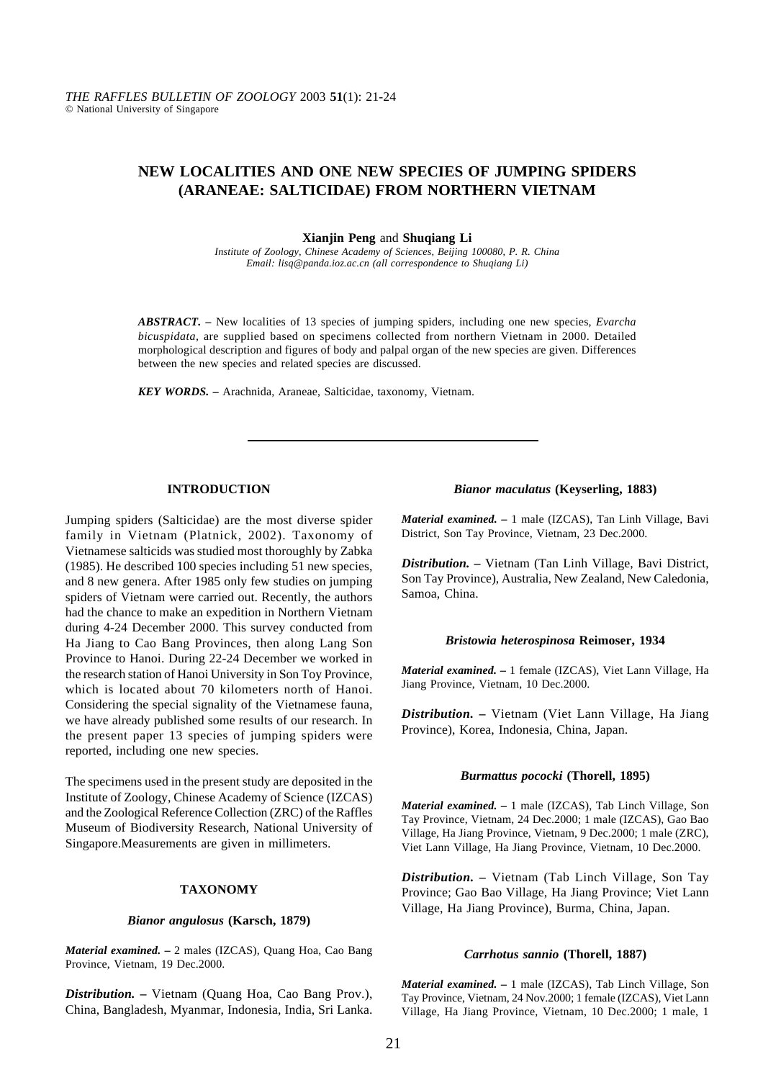# **NEW LOCALITIES AND ONE NEW SPECIES OF JUMPING SPIDERS (ARANEAE: SALTICIDAE) FROM NORTHERN VIETNAM**

**Xianjin Peng** and **Shuqiang Li**

*Institute of Zoology, Chinese Academy of Sciences, Beijing 100080, P. R. China Email: lisq@panda.ioz.ac.cn (all correspondence to Shuqiang Li)*

*ABSTRACT. –* New localities of 13 species of jumping spiders, including one new species, *Evarcha bicuspidata,* are supplied based on specimens collected from northern Vietnam in 2000. Detailed morphological description and figures of body and palpal organ of the new species are given. Differences between the new species and related species are discussed.

*KEY WORDS. –* Arachnida, Araneae, Salticidae, taxonomy, Vietnam.

# **INTRODUCTION**

Jumping spiders (Salticidae) are the most diverse spider family in Vietnam (Platnick, 2002). Taxonomy of Vietnamese salticids was studied most thoroughly by Zabka (1985). He described 100 species including 51 new species, and 8 new genera. After 1985 only few studies on jumping spiders of Vietnam were carried out. Recently, the authors had the chance to make an expedition in Northern Vietnam during 4-24 December 2000. This survey conducted from Ha Jiang to Cao Bang Provinces, then along Lang Son Province to Hanoi. During 22-24 December we worked in the research station of Hanoi University in Son Toy Province, which is located about 70 kilometers north of Hanoi. Considering the special signality of the Vietnamese fauna, we have already published some results of our research. In the present paper 13 species of jumping spiders were reported, including one new species.

The specimens used in the present study are deposited in the Institute of Zoology, Chinese Academy of Science (IZCAS) and the Zoological Reference Collection (ZRC) of the Raffles Museum of Biodiversity Research, National University of Singapore.Measurements are given in millimeters.

# **TAXONOMY**

#### *Bianor angulosus* **(Karsch, 1879)**

*Material examined. –* 2 males (IZCAS), Quang Hoa, Cao Bang Province, Vietnam, 19 Dec.2000.

*Distribution. –* Vietnam (Quang Hoa, Cao Bang Prov.), China, Bangladesh, Myanmar, Indonesia, India, Sri Lanka.

### *Bianor maculatus* **(Keyserling, 1883)**

*Material examined. –* 1 male (IZCAS), Tan Linh Village, Bavi District, Son Tay Province, Vietnam, 23 Dec.2000.

*Distribution. –* Vietnam (Tan Linh Village, Bavi District, Son Tay Province), Australia, New Zealand, New Caledonia, Samoa, China.

#### *Bristowia heterospinosa* **Reimoser, 1934**

*Material examined. –* 1 female (IZCAS), Viet Lann Village, Ha Jiang Province, Vietnam, 10 Dec.2000.

*Distribution. –* Vietnam (Viet Lann Village, Ha Jiang Province), Korea, Indonesia, China, Japan.

### *Burmattus pococki* **(Thorell, 1895)**

*Material examined. –* 1 male (IZCAS), Tab Linch Village, Son Tay Province, Vietnam, 24 Dec.2000; 1 male (IZCAS), Gao Bao Village, Ha Jiang Province, Vietnam, 9 Dec.2000; 1 male (ZRC), Viet Lann Village, Ha Jiang Province, Vietnam, 10 Dec.2000.

*Distribution. –* Vietnam (Tab Linch Village, Son Tay Province; Gao Bao Village, Ha Jiang Province; Viet Lann Village, Ha Jiang Province), Burma, China, Japan.

### *Carrhotus sannio* **(Thorell, 1887)**

*Material examined. –* 1 male (IZCAS), Tab Linch Village, Son Tay Province, Vietnam, 24 Nov.2000; 1 female (IZCAS), Viet Lann Village, Ha Jiang Province, Vietnam, 10 Dec.2000; 1 male, 1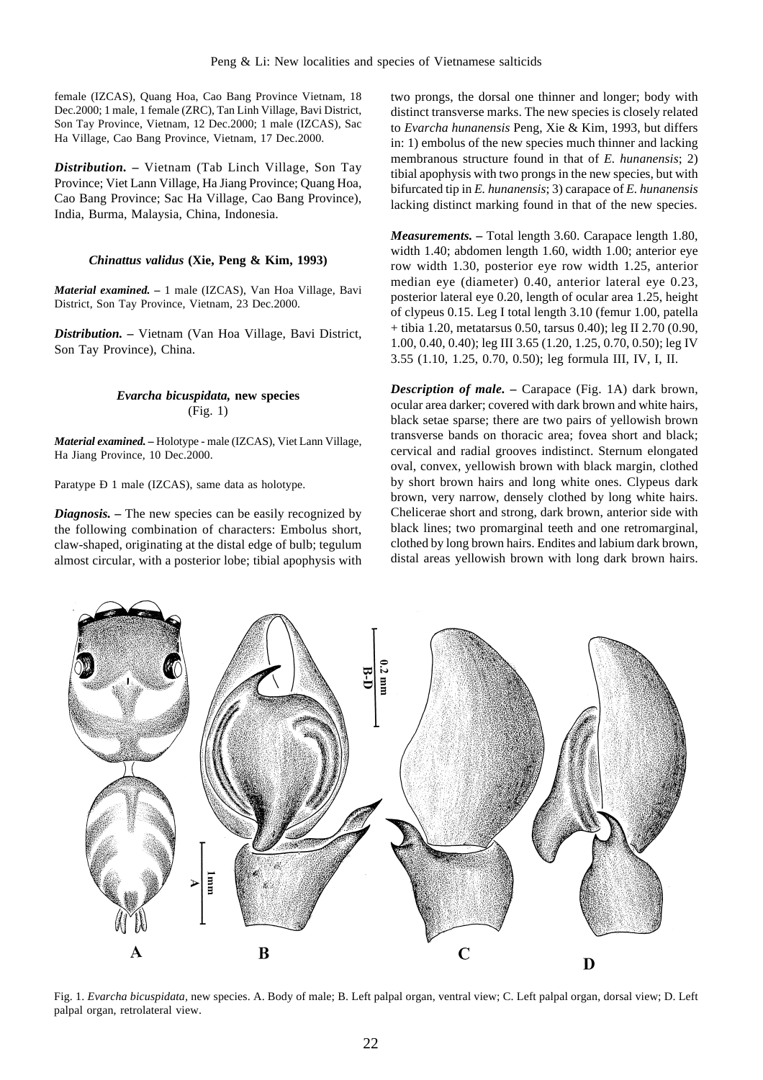female (IZCAS), Quang Hoa, Cao Bang Province Vietnam, 18 Dec.2000; 1 male, 1 female (ZRC), Tan Linh Village, Bavi District, Son Tay Province, Vietnam, 12 Dec.2000; 1 male (IZCAS), Sac Ha Village, Cao Bang Province, Vietnam, 17 Dec.2000.

*Distribution. –* Vietnam (Tab Linch Village, Son Tay Province; Viet Lann Village, Ha Jiang Province; Quang Hoa, Cao Bang Province; Sac Ha Village, Cao Bang Province), India, Burma, Malaysia, China, Indonesia.

# *Chinattus validus* **(Xie, Peng & Kim, 1993)**

*Material examined. –* 1 male (IZCAS), Van Hoa Village, Bavi District, Son Tay Province, Vietnam, 23 Dec.2000.

*Distribution. –* Vietnam (Van Hoa Village, Bavi District, Son Tay Province), China.

# *Evarcha bicuspidata,* **new species** (Fig. 1)

*Material examined. –* Holotype - male (IZCAS), Viet Lann Village, Ha Jiang Province, 10 Dec.2000.

Paratype Ð 1 male (IZCAS), same data as holotype.

*Diagnosis.* – The new species can be easily recognized by the following combination of characters: Embolus short, claw-shaped, originating at the distal edge of bulb; tegulum almost circular, with a posterior lobe; tibial apophysis with two prongs, the dorsal one thinner and longer; body with distinct transverse marks. The new species is closely related to *Evarcha hunanensis* Peng, Xie & Kim, 1993, but differs in: 1) embolus of the new species much thinner and lacking membranous structure found in that of *E. hunanensis*; 2) tibial apophysis with two prongs in the new species, but with bifurcated tip in *E. hunanensis*; 3) carapace of *E. hunanensis* lacking distinct marking found in that of the new species.

*Measurements. –* Total length 3.60. Carapace length 1.80, width 1.40; abdomen length 1.60, width 1.00; anterior eye row width 1.30, posterior eye row width 1.25, anterior median eye (diameter) 0.40, anterior lateral eye 0.23, posterior lateral eye 0.20, length of ocular area 1.25, height of clypeus 0.15. Leg I total length 3.10 (femur 1.00, patella + tibia 1.20, metatarsus 0.50, tarsus 0.40); leg II 2.70 (0.90, 1.00, 0.40, 0.40); leg III 3.65 (1.20, 1.25, 0.70, 0.50); leg IV 3.55 (1.10, 1.25, 0.70, 0.50); leg formula III, IV, I, II.

*Description of male. –* Carapace (Fig. 1A) dark brown, ocular area darker; covered with dark brown and white hairs, black setae sparse; there are two pairs of yellowish brown transverse bands on thoracic area; fovea short and black; cervical and radial grooves indistinct. Sternum elongated oval, convex, yellowish brown with black margin, clothed by short brown hairs and long white ones. Clypeus dark brown, very narrow, densely clothed by long white hairs. Chelicerae short and strong, dark brown, anterior side with black lines; two promarginal teeth and one retromarginal, clothed by long brown hairs. Endites and labium dark brown, distal areas yellowish brown with long dark brown hairs.



Fig. 1. *Evarcha bicuspidata,* new species. A. Body of male; B. Left palpal organ, ventral view; C. Left palpal organ, dorsal view; D. Left palpal organ, retrolateral view.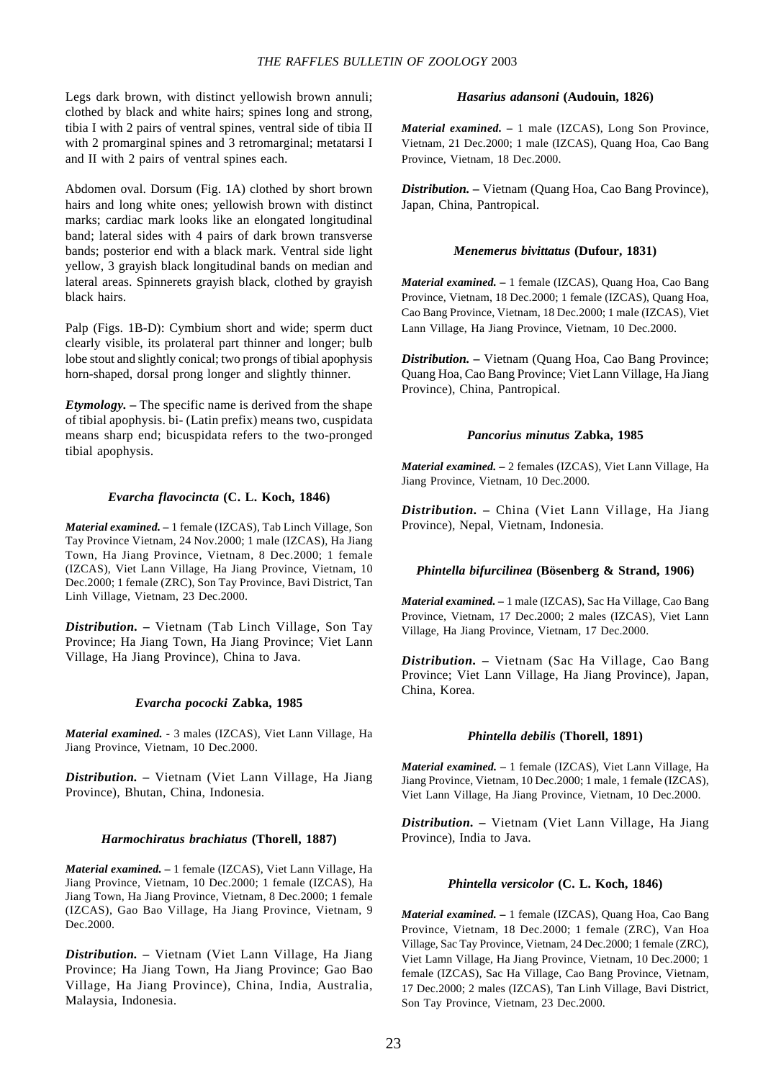Legs dark brown, with distinct yellowish brown annuli; clothed by black and white hairs; spines long and strong, tibia I with 2 pairs of ventral spines, ventral side of tibia II with 2 promarginal spines and 3 retromarginal; metatarsi I and II with 2 pairs of ventral spines each.

Abdomen oval. Dorsum (Fig. 1A) clothed by short brown hairs and long white ones; yellowish brown with distinct marks; cardiac mark looks like an elongated longitudinal band; lateral sides with 4 pairs of dark brown transverse bands; posterior end with a black mark. Ventral side light yellow, 3 grayish black longitudinal bands on median and lateral areas. Spinnerets grayish black, clothed by grayish black hairs.

Palp (Figs. 1B-D): Cymbium short and wide; sperm duct clearly visible, its prolateral part thinner and longer; bulb lobe stout and slightly conical; two prongs of tibial apophysis horn-shaped, dorsal prong longer and slightly thinner.

*Etymology. –* The specific name is derived from the shape of tibial apophysis. bi- (Latin prefix) means two, cuspidata means sharp end; bicuspidata refers to the two-pronged tibial apophysis.

# *Evarcha flavocincta* **(C. L. Koch, 1846)**

*Material examined. –* 1 female (IZCAS), Tab Linch Village, Son Tay Province Vietnam, 24 Nov.2000; 1 male (IZCAS), Ha Jiang Town, Ha Jiang Province, Vietnam, 8 Dec.2000; 1 female (IZCAS), Viet Lann Village, Ha Jiang Province, Vietnam, 10 Dec.2000; 1 female (ZRC), Son Tay Province, Bavi District, Tan Linh Village, Vietnam, 23 Dec.2000.

*Distribution. –* Vietnam (Tab Linch Village, Son Tay Province; Ha Jiang Town, Ha Jiang Province; Viet Lann Village, Ha Jiang Province), China to Java.

# *Evarcha pococki* **Zabka, 1985**

*Material examined. -* 3 males (IZCAS), Viet Lann Village, Ha Jiang Province, Vietnam, 10 Dec.2000.

*Distribution. –* Vietnam (Viet Lann Village, Ha Jiang Province), Bhutan, China, Indonesia.

# *Harmochiratus brachiatus* **(Thorell, 1887)**

*Material examined. –* 1 female (IZCAS), Viet Lann Village, Ha Jiang Province, Vietnam, 10 Dec.2000; 1 female (IZCAS), Ha Jiang Town, Ha Jiang Province, Vietnam, 8 Dec.2000; 1 female (IZCAS), Gao Bao Village, Ha Jiang Province, Vietnam, 9 Dec.2000.

*Distribution. –* Vietnam (Viet Lann Village, Ha Jiang Province; Ha Jiang Town, Ha Jiang Province; Gao Bao Village, Ha Jiang Province), China, India, Australia, Malaysia, Indonesia.

# *Hasarius adansoni* **(Audouin, 1826)**

*Material examined. –* 1 male (IZCAS), Long Son Province, Vietnam, 21 Dec.2000; 1 male (IZCAS), Quang Hoa, Cao Bang Province, Vietnam, 18 Dec.2000.

*Distribution. –* Vietnam (Quang Hoa, Cao Bang Province), Japan, China, Pantropical.

# *Menemerus bivittatus* **(Dufour, 1831)**

*Material examined. –* 1 female (IZCAS), Quang Hoa, Cao Bang Province, Vietnam, 18 Dec.2000; 1 female (IZCAS), Quang Hoa, Cao Bang Province, Vietnam, 18 Dec.2000; 1 male (IZCAS), Viet Lann Village, Ha Jiang Province, Vietnam, 10 Dec.2000.

*Distribution. –* Vietnam (Quang Hoa, Cao Bang Province; Quang Hoa, Cao Bang Province; Viet Lann Village, Ha Jiang Province), China, Pantropical.

# *Pancorius minutus* **Zabka, 1985**

*Material examined. –* 2 females (IZCAS), Viet Lann Village, Ha Jiang Province, Vietnam, 10 Dec.2000.

*Distribution. –* China (Viet Lann Village, Ha Jiang Province), Nepal, Vietnam, Indonesia.

# *Phintella bifurcilinea* **(Bösenberg & Strand, 1906)**

*Material examined. –* 1 male (IZCAS), Sac Ha Village, Cao Bang Province, Vietnam, 17 Dec.2000; 2 males (IZCAS), Viet Lann Village, Ha Jiang Province, Vietnam, 17 Dec.2000.

*Distribution. –* Vietnam (Sac Ha Village, Cao Bang Province; Viet Lann Village, Ha Jiang Province), Japan, China, Korea.

# *Phintella debilis* **(Thorell, 1891)**

*Material examined. –* 1 female (IZCAS), Viet Lann Village, Ha Jiang Province, Vietnam, 10 Dec.2000; 1 male, 1 female (IZCAS), Viet Lann Village, Ha Jiang Province, Vietnam, 10 Dec.2000.

*Distribution. –* Vietnam (Viet Lann Village, Ha Jiang Province), India to Java.

# *Phintella versicolor* **(C. L. Koch, 1846)**

*Material examined. –* 1 female (IZCAS), Quang Hoa, Cao Bang Province, Vietnam, 18 Dec.2000; 1 female (ZRC), Van Hoa Village, Sac Tay Province, Vietnam, 24 Dec.2000; 1 female (ZRC), Viet Lamn Village, Ha Jiang Province, Vietnam, 10 Dec.2000; 1 female (IZCAS), Sac Ha Village, Cao Bang Province, Vietnam, 17 Dec.2000; 2 males (IZCAS), Tan Linh Village, Bavi District, Son Tay Province, Vietnam, 23 Dec.2000.